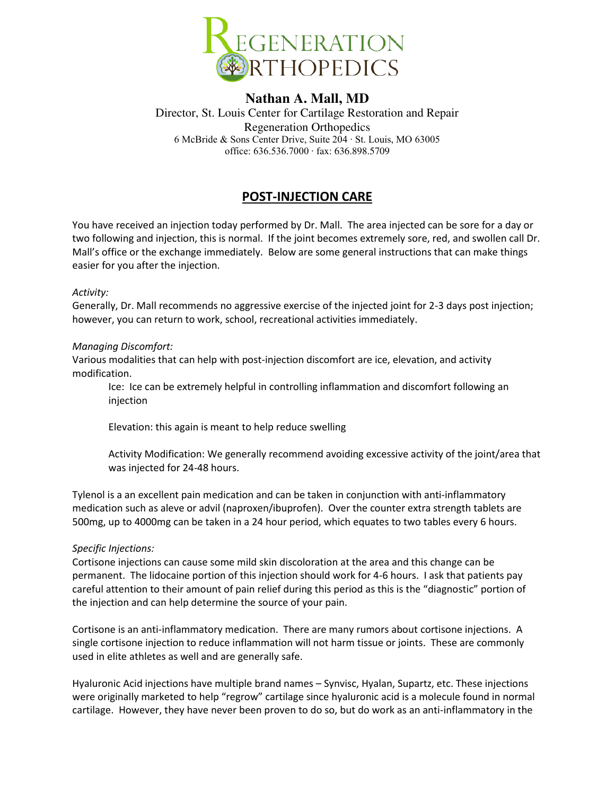

## **Nathan A. Mall, MD**

Director, St. Louis Center for Cartilage Restoration and Repair Regeneration Orthopedics 6 McBride & Sons Center Drive, Suite 204 ∙ St. Louis, MO 63005 office: 636.536.7000 ∙ fax: 636.898.5709

# **POST-INJECTION CARE**

You have received an injection today performed by Dr. Mall. The area injected can be sore for a day or two following and injection, this is normal. If the joint becomes extremely sore, red, and swollen call Dr. Mall's office or the exchange immediately. Below are some general instructions that can make things easier for you after the injection.

### *Activity:*

Generally, Dr. Mall recommends no aggressive exercise of the injected joint for 2-3 days post injection; however, you can return to work, school, recreational activities immediately.

### *Managing Discomfort:*

Various modalities that can help with post-injection discomfort are ice, elevation, and activity modification.

Ice: Ice can be extremely helpful in controlling inflammation and discomfort following an injection

Elevation: this again is meant to help reduce swelling

Activity Modification: We generally recommend avoiding excessive activity of the joint/area that was injected for 24-48 hours.

Tylenol is a an excellent pain medication and can be taken in conjunction with anti-inflammatory medication such as aleve or advil (naproxen/ibuprofen). Over the counter extra strength tablets are 500mg, up to 4000mg can be taken in a 24 hour period, which equates to two tables every 6 hours.

### *Specific Injections:*

Cortisone injections can cause some mild skin discoloration at the area and this change can be permanent. The lidocaine portion of this injection should work for 4-6 hours. I ask that patients pay careful attention to their amount of pain relief during this period as this is the "diagnostic" portion of the injection and can help determine the source of your pain.

Cortisone is an anti-inflammatory medication. There are many rumors about cortisone injections. A single cortisone injection to reduce inflammation will not harm tissue or joints. These are commonly used in elite athletes as well and are generally safe.

Hyaluronic Acid injections have multiple brand names – Synvisc, Hyalan, Supartz, etc. These injections were originally marketed to help "regrow" cartilage since hyaluronic acid is a molecule found in normal cartilage. However, they have never been proven to do so, but do work as an anti-inflammatory in the